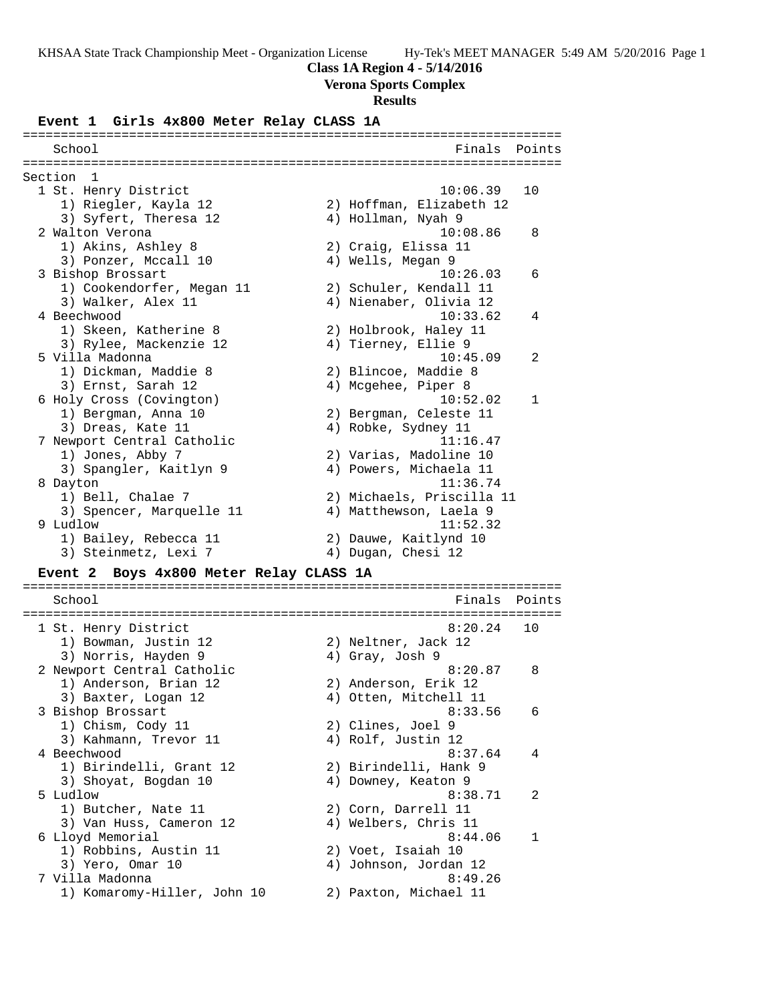# **Class 1A Region 4 - 5/14/2016**

# **Verona Sports Complex**

### **Results**

### **Event 1 Girls 4x800 Meter Relay CLASS 1A**

| School                     | Finals                    | Points       |
|----------------------------|---------------------------|--------------|
| Section<br>1               |                           |              |
| 1 St. Henry District       | 10:06.39                  | 10           |
| 1) Riegler, Kayla 12       | 2) Hoffman, Elizabeth 12  |              |
| 3) Syfert, Theresa 12      | 4) Hollman, Nyah 9        |              |
| 2 Walton Verona            | 10:08.86                  | 8            |
| 1) Akins, Ashley 8         | 2) Craig, Elissa 11       |              |
| 3) Ponzer, Mccall 10       | 4) Wells, Megan 9         |              |
| 3 Bishop Brossart          | 10:26.03                  | 6            |
| 1) Cookendorfer, Megan 11  | 2) Schuler, Kendall 11    |              |
| 3) Walker, Alex 11         | 4) Nienaber, Olivia 12    |              |
| 4 Beechwood                | 10:33.62                  | 4            |
| 1) Skeen, Katherine 8      | 2) Holbrook, Haley 11     |              |
| 3) Rylee, Mackenzie 12     | 4) Tierney, Ellie 9       |              |
| 5 Villa Madonna            | 10:45.09                  | 2            |
| 1) Dickman, Maddie 8       | 2) Blincoe, Maddie 8      |              |
| 3) Ernst, Sarah 12         | 4) Mcgehee, Piper 8       |              |
| 6 Holy Cross (Covington)   | 10:52.02                  | $\mathbf{1}$ |
| 1) Bergman, Anna 10        | 2) Bergman, Celeste 11    |              |
| 3) Dreas, Kate 11          | 4) Robke, Sydney 11       |              |
| 7 Newport Central Catholic | 11:16.47                  |              |
| 1) Jones, Abby 7           | 2) Varias, Madoline 10    |              |
| 3) Spangler, Kaitlyn 9     | 4) Powers, Michaela 11    |              |
| 8 Dayton                   | 11:36.74                  |              |
| 1) Bell, Chalae 7          | 2) Michaels, Priscilla 11 |              |
| 3) Spencer, Marquelle 11   | 4) Matthewson, Laela 9    |              |
| 9 Ludlow                   | 11:52.32                  |              |
| 1) Bailey, Rebecca 11      | 2) Dauwe, Kaitlynd 10     |              |
| 3) Steinmetz, Lexi 7       | 4) Dugan, Chesi 12        |              |

### **Event 2 Boys 4x800 Meter Relay CLASS 1A**

| Finals<br>School                                     | Points         |
|------------------------------------------------------|----------------|
|                                                      |                |
| 1 St. Henry District<br>8:20.24                      | 1 O            |
| 1) Bowman, Justin 12<br>2) Neltner, Jack 12          |                |
| 3) Norris, Hayden 9<br>4) Gray, Josh 9               |                |
| 2 Newport Central Catholic<br>8:20.87                | 8              |
| 2) Anderson, Erik 12<br>1) Anderson, Brian 12        |                |
| 4) Otten, Mitchell 11<br>3) Baxter, Logan 12         |                |
| 3 Bishop Brossart<br>8:33.56                         | 6              |
| 1) Chism, Cody 11<br>2) Clines, Joel 9               |                |
| 3) Kahmann, Trevor 11<br>4) Rolf, Justin 12          |                |
| 4 Beechwood<br>8:37.64                               | 4              |
| 1) Birindelli, Grant 12<br>2) Birindelli, Hank 9     |                |
| 4) Downey, Keaton 9<br>3) Shoyat, Bogdan 10          |                |
| 5 Ludlow<br>8:38.71                                  | $\mathfrak{D}$ |
| 2) Corn, Darrell 11<br>1) Butcher, Nate 11           |                |
| 4) Welbers, Chris 11<br>3) Van Huss, Cameron 12      |                |
| 8:44.06<br>6 Lloyd Memorial                          |                |
| 1) Robbins, Austin 11<br>2) Voet, Isaiah 10          |                |
| 3) Yero, Omar 10<br>4) Johnson, Jordan 12            |                |
| 7 Villa Madonna<br>8:49.26                           |                |
| 1) Komaromy-Hiller, John 10<br>2) Paxton, Michael 11 |                |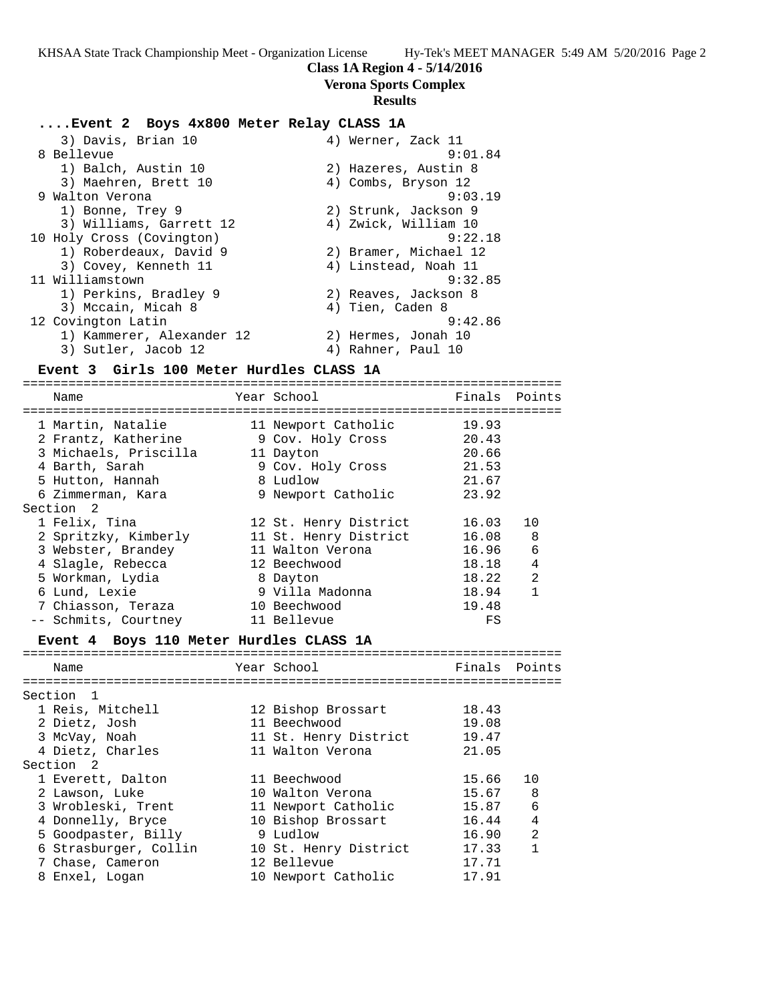### **Class 1A Region 4 - 5/14/2016**

**Verona Sports Complex**

#### **Results**

### **....Event 2 Boys 4x800 Meter Relay CLASS 1A**

| 3) Davis, Brian 10        | 4) Werner, Zack 11    |
|---------------------------|-----------------------|
| 8 Bellevue                | 9:01.84               |
| 1) Balch, Austin 10       | 2) Hazeres, Austin 8  |
| 3) Maehren, Brett 10      | 4) Combs, Bryson 12   |
| 9 Walton Verona           | 9:03.19               |
| 1) Bonne, Trey 9          | 2) Strunk, Jackson 9  |
| 3) Williams, Garrett 12   | 4) Zwick, William 10  |
| 10 Holy Cross (Covington) | 9:22.18               |
| 1) Roberdeaux, David 9    | 2) Bramer, Michael 12 |
| 3) Covey, Kenneth 11      | 4) Linstead, Noah 11  |
| 11 Williamstown           | 9:32.85               |
| 1) Perkins, Bradley 9     | 2) Reaves, Jackson 8  |
| 3) Mccain, Micah 8        | 4) Tien, Caden 8      |
| 12 Covington Latin        | 9:42.86               |
| 1) Kammerer, Alexander 12 | 2) Hermes, Jonah 10   |
| 3) Sutler, Jacob 12       | 4) Rahner, Paul 10    |

### **Event 3 Girls 100 Meter Hurdles CLASS 1A**

======================================================================= Name Tear School Tear School Finals Points ======================================================================= 1 Martin, Natalie 11 Newport Catholic 19.93 2 Frantz, Katherine 9 Cov. Holy Cross 20.43 3 Michaels, Priscilla 11 Dayton 20.66 4 Barth, Sarah 9 Cov. Holy Cross 21.53 5 Hutton, Hannah 8 Ludlow 21.67 6 Zimmerman, Kara 9 Newport Catholic 23.92 Section 2 1 Felix, Tina 12 St. Henry District 16.03 10 2 Spritzky, Kimberly 11 St. Henry District 16.08 8 3 Webster, Brandey 11 Walton Verona 16.96 6 4 Slagle, Rebecca 12 Beechwood 18.18 4 5 Workman, Lydia 8 Dayton 18.22 2 6 Lund, Lexie 9 Villa Madonna 18.94 1 7 Chiasson, Teraza 10 Beechwood 19.48 -- Schmits, Courtney 11 Bellevue FS

# **Event 4 Boys 110 Meter Hurdles CLASS 1A**

| Name                  | Year School           | Finals Points |                |
|-----------------------|-----------------------|---------------|----------------|
| Section <sub>1</sub>  |                       |               |                |
| 1 Reis, Mitchell      | 12 Bishop Brossart    | 18.43         |                |
| 2 Dietz, Josh         | 11 Beechwood          | 19.08         |                |
| 3 McVay, Noah         | 11 St. Henry District | 19.47         |                |
| 4 Dietz, Charles      | 11 Walton Verona      | 21.05         |                |
| Section 2             |                       |               |                |
| 1 Everett, Dalton     | 11 Beechwood          | 15.66         | 10             |
| 2 Lawson, Luke        | 10 Walton Verona      | 15.67         | - 8            |
| 3 Wrobleski, Trent    | 11 Newport Catholic   | 15.87         | 6              |
| 4 Donnelly, Bryce     | 10 Bishop Brossart    | 16.44         | $\overline{4}$ |
| 5 Goodpaster, Billy   | 9 Ludlow              | 16.90         | $\mathfrak{D}$ |
| 6 Strasburger, Collin | 10 St. Henry District | 17.33         | 1              |
| 7 Chase, Cameron      | 12 Bellevue           | 17.71         |                |
| 8 Enxel, Logan        | 10 Newport Catholic   | 17.91         |                |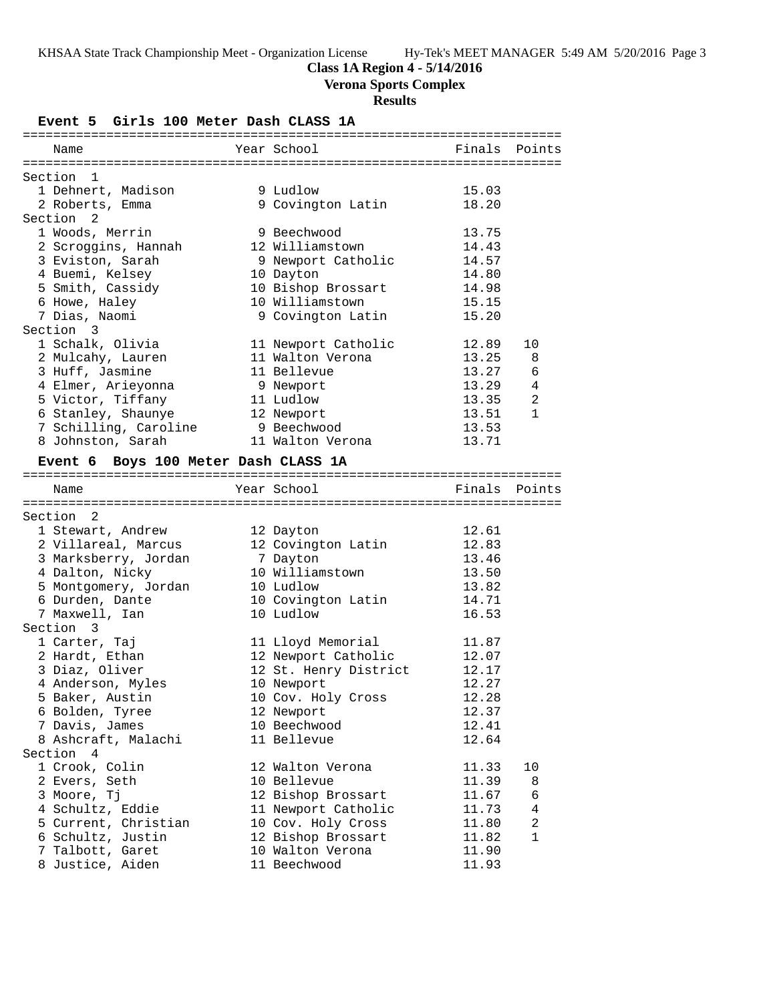# **Class 1A Region 4 - 5/14/2016**

**Verona Sports Complex**

# **Results**

**Event 5 Girls 100 Meter Dash CLASS 1A**

| Name                                 |                       | Finals Points |              |
|--------------------------------------|-----------------------|---------------|--------------|
|                                      |                       |               |              |
| Section 1                            |                       |               |              |
| 1 Dehnert, Madison                   | 9 Ludlow              | 15.03         |              |
| 2 Roberts, Emma                      | 9 Covington Latin     | 18.20         |              |
| Section 2                            |                       |               |              |
| 1 Woods, Merrin                      | 9 Beechwood           | 13.75         |              |
| 2 Scroggins, Hannah                  | 12 Williamstown       | 14.43         |              |
| 3 Eviston, Sarah                     | 9 Newport Catholic    | 14.57         |              |
| 4 Buemi, Kelsey                      | 10 Dayton             | 14.80         |              |
| 5 Smith, Cassidy                     | 10 Bishop Brossart    | 14.98         |              |
| 6 Howe, Haley                        | 10 Williamstown       | 15.15         |              |
| 7 Dias, Naomi                        | 9 Covington Latin     | 15.20         |              |
| Section 3                            |                       |               |              |
| 1 Schalk, Olivia                     | 11 Newport Catholic   | 12.89         | 10           |
| 2 Mulcahy, Lauren                    | 11 Walton Verona      | 13.25         | 8            |
| 3 Huff, Jasmine                      | 11 Bellevue           | 13.27         | 6            |
| 4 Elmer, Arieyonna                   | 9 Newport             | 13.29         | 4            |
| 5 Victor, Tiffany                    | 11 Ludlow             | 13.35         | 2            |
| 6 Stanley, Shaunye                   | 12 Newport            | 13.51         | $\mathbf{1}$ |
| 7 Schilling, Caroline                | 9 Beechwood           | 13.53         |              |
| 8 Johnston, Sarah                    | 11 Walton Verona      | 13.71         |              |
| Event 6 Boys 100 Meter Dash CLASS 1A |                       |               |              |
|                                      |                       |               |              |
| Name                                 | Year School           | Finals        | Points       |
|                                      |                       |               |              |
| Section 2                            |                       |               |              |
| 1 Stewart, Andrew                    | 12 Dayton             | 12.61         |              |
| 2 Villareal, Marcus                  | 12 Covington Latin    | 12.83         |              |
| 3 Marksberry, Jordan                 | 7 Dayton              | 13.46         |              |
| 4 Dalton, Nicky                      | 10 Williamstown       | 13.50         |              |
| 5 Montgomery, Jordan                 | 10 Ludlow             | 13.82         |              |
| 6 Durden, Dante                      | 10 Covington Latin    | 14.71         |              |
| 7 Maxwell, Ian                       | 10 Ludlow             | 16.53         |              |
| Section 3                            |                       |               |              |
| 1 Carter, Taj                        | 11 Lloyd Memorial     | 11.87         |              |
| 2 Hardt, Ethan                       | 12 Newport Catholic   | 12.07         |              |
| 3 Diaz, Oliver                       | 12 St. Henry District | 12.17         |              |
| 4 Anderson, Myles                    | 10 Newport            | 12.27         |              |
| 5 Baker, Austin                      | 10 Cov. Holy Cross    | 12.28         |              |
| 6 Bolden, Tyree                      | 12 Newport            | 12.37         |              |
| 7 Davis, James                       | 10 Beechwood          | 12.41         |              |
| 8 Ashcraft, Malachi                  | 11 Bellevue           | 12.64         |              |
| Section 4                            |                       |               |              |
| 1 Crook, Colin                       | 12 Walton Verona      | 11.33         | 10           |
| 2 Evers, Seth                        | 10 Bellevue           | 11.39         | 8            |
| 3 Moore, Tj                          | 12 Bishop Brossart    | 11.67         | 6            |
| 4 Schultz, Eddie                     | 11 Newport Catholic   | 11.73         | 4            |
| 5 Current, Christian                 | 10 Cov. Holy Cross    | 11.80         | 2            |
| 6 Schultz, Justin                    | 12 Bishop Brossart    | 11.82         | 1            |
|                                      |                       |               |              |
| 7 Talbott, Garet                     | 10 Walton Verona      | 11.90         |              |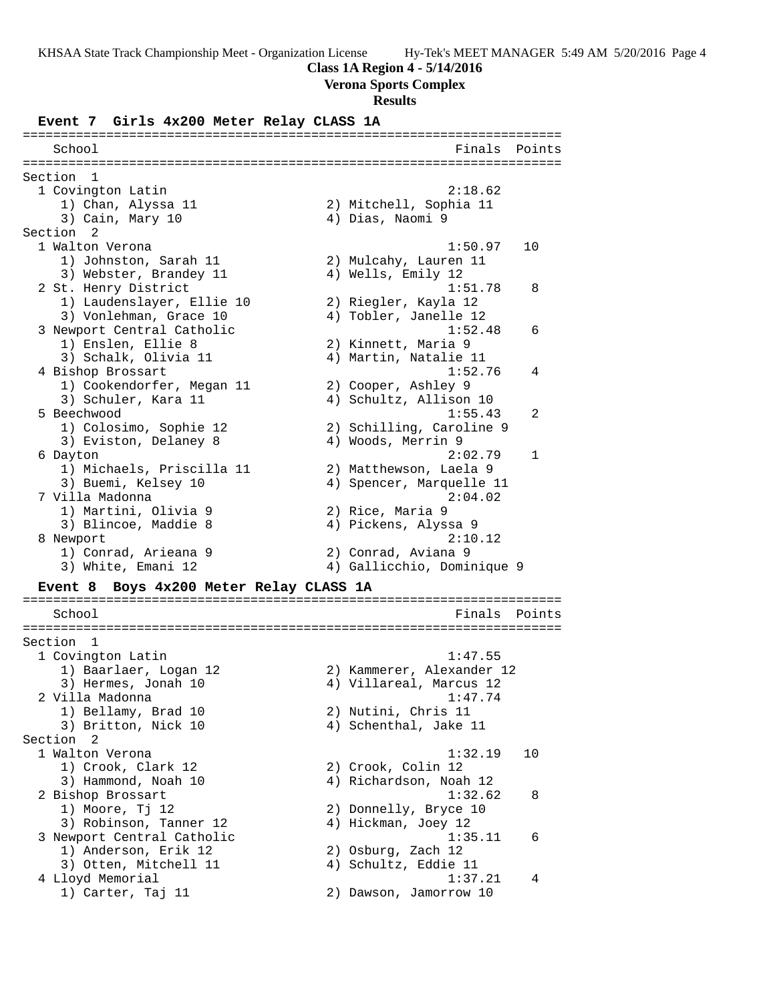### **Class 1A Region 4 - 5/14/2016**

### **Verona Sports Complex**

#### **Results**

**Event 7 Girls 4x200 Meter Relay CLASS 1A**

======================================================================= School **Finals Points** ======================================================================= Section 1 1 Covington Latin 2:18.62 1) Chan, Alyssa 11 2) Mitchell, Sophia 11 3) Cain, Mary 10 (4) 2018, Naomi 9 Section 2 1 Walton Verona 1:50.97 10 1) Johnston, Sarah 11 2) Mulcahy, Lauren 11 3) Webster, Brandey 11  $\hskip1cm$  4) Wells, Emily 12 2 St. Henry District 1:51.78 8 1) Laudenslayer, Ellie 10 2) Riegler, Kayla 12 3) Vonlehman, Grace 10 4) Tobler, Janelle 12 3 Newport Central Catholic 1:52.48 6 1) Enslen, Ellie 8 2) Kinnett, Maria 9 3) Schalk, Olivia 11 4) Martin, Natalie 11 4 Bishop Brossart 1:52.76 4 1) Cookendorfer, Megan 11 2) Cooper, Ashley 9 3) Schuler, Kara 11 4) Schultz, Allison 10 5 Beechwood 1:55.43 2 1) Colosimo, Sophie 12 2) Schilling, Caroline 9 3) Eviston, Delaney 8 (4) Woods, Merrin 9 6 Dayton 2:02.79 1 1) Michaels, Priscilla 11 2) Matthewson, Laela 9 3) Buemi, Kelsey 10 4) Spencer, Marquelle 11 7 Villa Madonna 2:04.02 1) Martini, Olivia 9 2) Rice, Maria 9 3) Blincoe, Maddie 8  $\hskip 1.5cm 4$  Pickens, Alyssa 9 8 Newport 2:10.12 1) Conrad, Arieana 9 2) Conrad, Aviana 9 3) White, Emani 12 4) Gallicchio, Dominique 9 **Event 8 Boys 4x200 Meter Relay CLASS 1A** ======================================================================= School **Finals Points** ======================================================================= Section 1 1 Covington Latin 1:47.55 1) Baarlaer, Logan 12 2) Kammerer, Alexander 12 3) Hermes, Jonah 10 4) Villareal, Marcus 12 2 Villa Madonna 1:47.74 1) Bellamy, Brad 10 2) Nutini, Chris 11 3) Britton, Nick 10 4) Schenthal, Jake 11 Section 2<br>1 Walton Verona 1 Walton Verona 1:32.19 10 1) Crook, Clark 12 2) Crook, Colin 12 3) Hammond, Noah 10 4) Richardson, Noah 12 2 Bishop Brossart 1:32.62 8 1) Moore, Tj 12 2) Donnelly, Bryce 10 3) Robinson, Tanner 12 4) Hickman, Joey 12 3 Newport Central Catholic 1:35.11 6 1) Anderson, Erik 12 2) Osburg, Zach 12 3) Otten, Mitchell 11 (4) Schultz, Eddie 11 4 Lloyd Memorial 1:37.21 4 1) Carter, Taj 11 2) Dawson, Jamorrow 10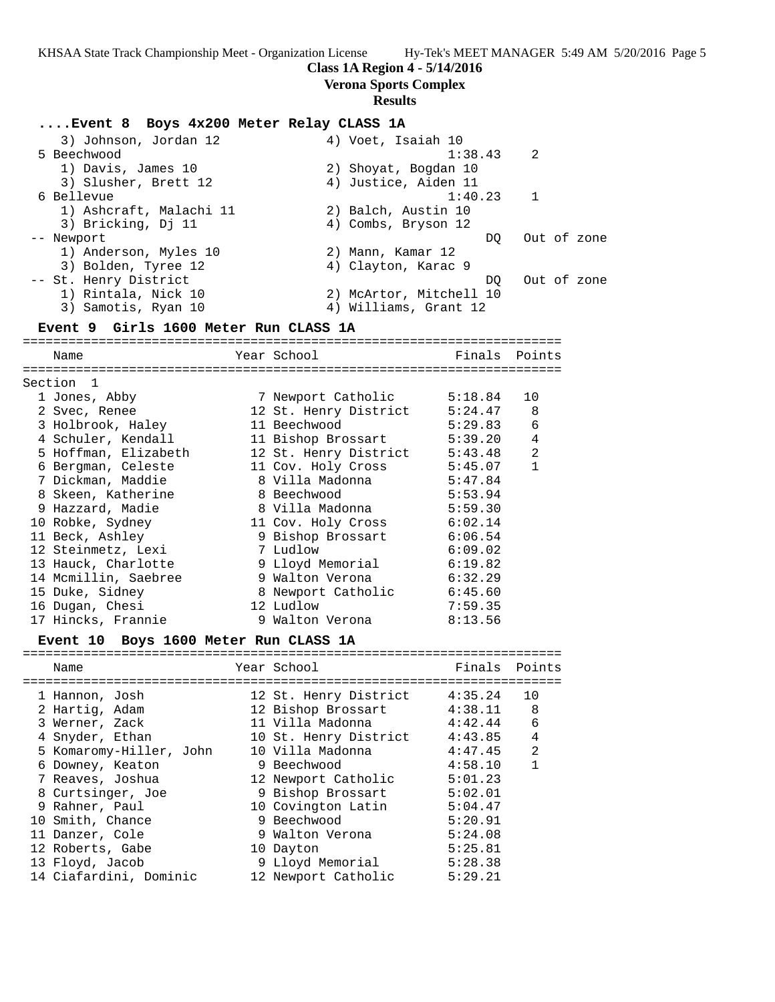### **Class 1A Region 4 - 5/14/2016**

**Verona Sports Complex**

#### **Results**

### **....Event 8 Boys 4x200 Meter Relay CLASS 1A**

 3) Johnson, Jordan 12 4) Voet, Isaiah 10 5 Beechwood 1:38.43 2 1) Davis, James 10 2) Shoyat, Bogdan 10 3) Slusher, Brett 12 (4) Justice, Aiden 11 6 Bellevue 1:40.23 1 1) Ashcraft, Malachi 11 (2) Balch, Austin 10 3) Bricking, Dj 11 (4) Combs, Bryson 12 -- Newport  $DQ$  out of zone 1) Anderson, Myles 10 2) Mann, Kamar 12 3) Bolden, Tyree 12 (4) Clayton, Karac 9 -- St. Henry District and the control of the DQ out of zone 1) Rintala, Nick 10 2) McArtor, Mitchell 10 3) Samotis, Ryan 10 4) Williams, Grant 12 **Event 9 Girls 1600 Meter Run CLASS 1A** ======================================================================= Name The Year School Team Points Points ======================================================================= Section 1 1 Jones, Abby 7 Newport Catholic 5:18.84 10 2 Svec, Renee 12 St. Henry District 5:24.47 8 3 Holbrook, Haley 11 Beechwood 5:29.83 6 4 Schuler, Kendall 11 Bishop Brossart 5:39.20 4 5 Hoffman, Elizabeth 12 St. Henry District 5:43.48 2 6 Bergman, Celeste 11 Cov. Holy Cross 5:45.07 1 7 Dickman, Maddie 8 Villa Madonna 5:47.84 8 Skeen, Katherine 8 Beechwood 5:53.94 9 Hazzard, Madie 8 Villa Madonna 5:59.30 10 Robke, Sydney 11 Cov. Holy Cross 6:02.14 11 Beck, Ashley 9 Bishop Brossart 6:06.54 12 Steinmetz, Lexi 7 Ludlow 6:09.02 13 Hauck, Charlotte 9 Lloyd Memorial 6:19.82 14 Mcmillin, Saebree 9 Walton Verona 6:32.29

### 15 Duke, Sidney 8 Newport Catholic 6:45.60 16 Dugan, Chesi 12 Ludlow 7:59.35 17 Hincks, Frannie 9 Walton Verona 8:13.56

#### **Event 10 Boys 1600 Meter Run CLASS 1A** =======================================================================

| Name                    | Year School           | Finals Points |              |
|-------------------------|-----------------------|---------------|--------------|
| 1 Hannon, Josh          | 12 St. Henry District | 4:35.24       | 10           |
| 2 Hartig, Adam          | 12 Bishop Brossart    | $4:38.11$ 8   |              |
| 3 Werner, Zack          | 11 Villa Madonna      | 4:42.44       | 6            |
| 4 Snyder, Ethan         | 10 St. Henry District | 4:43.85       | 4            |
| 5 Komaromy-Hiller, John | 10 Villa Madonna      | 4:47.45       | 2            |
| 6 Downey, Keaton        | 9 Beechwood           | 4:58.10       | $\mathbf{1}$ |
| 7 Reaves, Joshua        | 12 Newport Catholic   | 5:01.23       |              |
| 8 Curtsinger, Joe       | 9 Bishop Brossart     | 5:02.01       |              |
| 9 Rahner, Paul          | 10 Covington Latin    | 5:04.47       |              |
| 10 Smith, Chance        | 9 Beechwood           | 5:20.91       |              |
| 11 Danzer, Cole         | 9 Walton Verona       | 5:24.08       |              |
| 12 Roberts, Gabe        | 10 Dayton             | 5:25.81       |              |
| 13 Floyd, Jacob         | 9 Lloyd Memorial      | 5:28.38       |              |
| 14 Ciafardini, Dominic  | 12 Newport Catholic   | 5:29.21       |              |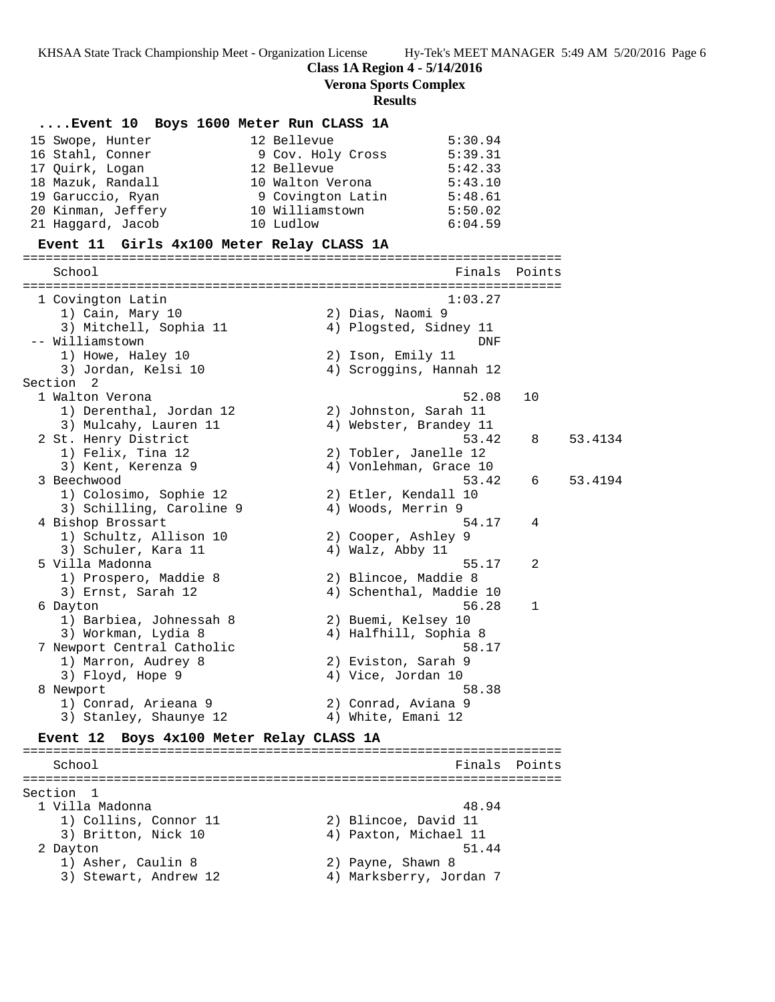**Class 1A Region 4 - 5/14/2016**

**Verona Sports Complex**

# **Results**

| Event 10 Boys 1600 Meter Run CLASS 1A     |                   |                         |        |         |
|-------------------------------------------|-------------------|-------------------------|--------|---------|
| 15 Swope, Hunter                          | 12 Bellevue       | 5:30.94                 |        |         |
| 16 Stahl, Conner                          | 9 Cov. Holy Cross | 5:39.31                 |        |         |
| 17 Quirk, Logan                           | 12 Bellevue       | 5:42.33                 |        |         |
| 18 Mazuk, Randall                         | 10 Walton Verona  | 5:43.10                 |        |         |
| 19 Garuccio, Ryan                         | 9 Covington Latin | 5:48.61                 |        |         |
| 20 Kinman, Jeffery                        | 10 Williamstown   | 5:50.02                 |        |         |
| 21 Haggard, Jacob                         | 10 Ludlow         | 6:04.59                 |        |         |
| Event 11 Girls 4x100 Meter Relay CLASS 1A |                   |                         |        |         |
|                                           |                   |                         |        |         |
| School                                    |                   | Finals                  | Points |         |
| 1 Covington Latin                         |                   | 1:03.27                 |        |         |
| 1) Cain, Mary 10                          |                   | 2) Dias, Naomi 9        |        |         |
| 3) Mitchell, Sophia 11                    |                   | 4) Plogsted, Sidney 11  |        |         |
| -- Williamstown                           |                   | DNF                     |        |         |
| 1) Howe, Haley 10                         |                   | 2) Ison, Emily 11       |        |         |
| 3) Jordan, Kelsi 10                       |                   | 4) Scroggins, Hannah 12 |        |         |
| Section 2                                 |                   |                         |        |         |
| 1 Walton Verona                           |                   | 52.08                   | 10     |         |
| 1) Derenthal, Jordan 12                   |                   | 2) Johnston, Sarah 11   |        |         |
| 3) Mulcahy, Lauren 11                     |                   | 4) Webster, Brandey 11  |        |         |
| 2 St. Henry District                      |                   | 53.42                   | 8      | 53.4134 |
| 1) Felix, Tina 12                         |                   | 2) Tobler, Janelle 12   |        |         |
| 3) Kent, Kerenza 9                        |                   | 4) Vonlehman, Grace 10  |        |         |
| 3 Beechwood                               |                   | 53.42                   | 6      | 53.4194 |
| 1) Colosimo, Sophie 12                    |                   | 2) Etler, Kendall 10    |        |         |
| 3) Schilling, Caroline 9                  |                   | 4) Woods, Merrin 9      |        |         |
| 4 Bishop Brossart                         |                   | 54.17                   | 4      |         |
| 1) Schultz, Allison 10                    |                   | 2) Cooper, Ashley 9     |        |         |
| 3) Schuler, Kara 11                       |                   | 4) Walz, Abby 11        |        |         |
| 5 Villa Madonna                           |                   | 55.17                   | 2      |         |
| 1) Prospero, Maddie 8                     |                   | 2) Blincoe, Maddie 8    |        |         |
| 3) Ernst, Sarah 12                        |                   | 4) Schenthal, Maddie 10 |        |         |
| 6 Dayton                                  |                   | 56.28                   | 1      |         |
| 1) Barbiea, Johnessah 8                   |                   | 2) Buemi, Kelsey 10     |        |         |
| 3) Workman, Lydia 8                       |                   | 4) Halfhill, Sophia 8   |        |         |
| 7 Newport Central Catholic                |                   | 58.17                   |        |         |
| 1) Marron, Audrey 8                       |                   | 2) Eviston, Sarah 9     |        |         |
| 3) Floyd, Hope 9                          |                   | 4) Vice, Jordan 10      |        |         |
| 8 Newport                                 |                   | 58.38                   |        |         |
| 1) Conrad, Arieana 9                      |                   | 2) Conrad, Aviana 9     |        |         |
| 3) Stanley, Shaunye 12                    |                   | 4) White, Emani 12      |        |         |
| Event 12 Boys 4x100 Meter Relay CLASS 1A  |                   |                         |        |         |
| School                                    |                   | Finals                  | Points |         |
|                                           |                   |                         |        |         |
| Section 1                                 |                   |                         |        |         |
| 1 Villa Madonna                           |                   | 48.94                   |        |         |
| 1) Collins, Connor 11                     |                   | 2) Blincoe, David 11    |        |         |
| 3) Britton, Nick 10                       |                   | 4) Paxton, Michael 11   |        |         |
| 2 Dayton                                  |                   | 51.44                   |        |         |
| 1) Asher, Caulin 8                        |                   | 2) Payne, Shawn 8       |        |         |
| 3) Stewart, Andrew 12                     |                   | 4) Marksberry, Jordan 7 |        |         |
|                                           |                   |                         |        |         |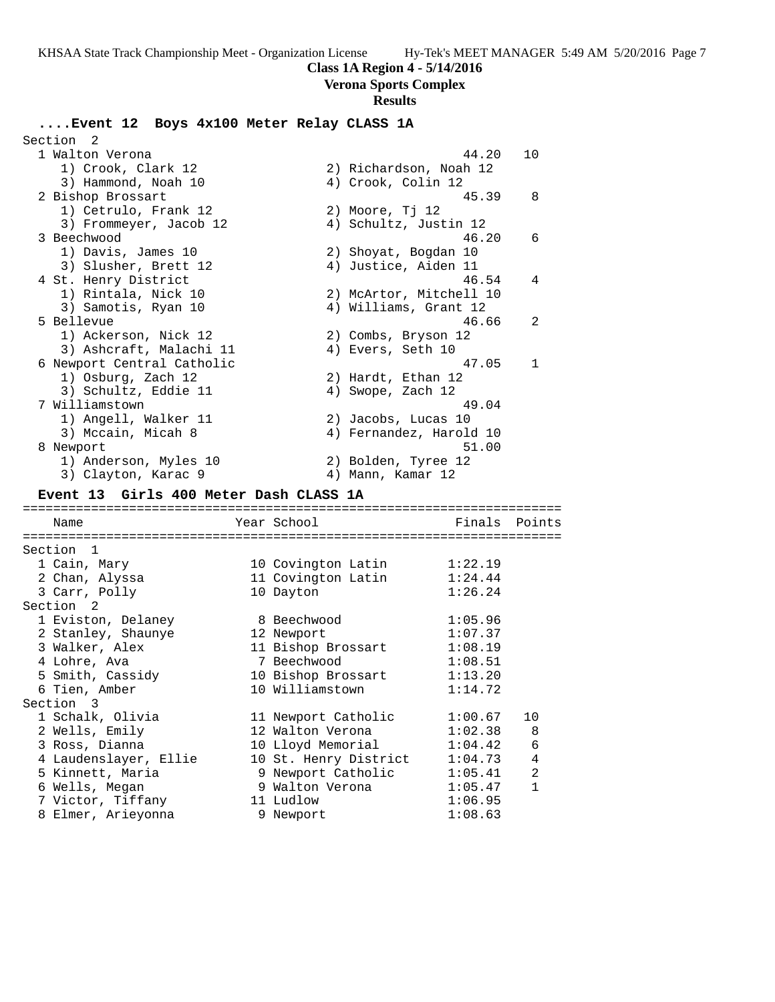# **Class 1A Region 4 - 5/14/2016**

**Verona Sports Complex**

# **Results**

# **....Event 12 Boys 4x100 Meter Relay CLASS 1A**

| Section<br>- 2                          |                        |                         |              |
|-----------------------------------------|------------------------|-------------------------|--------------|
| 1 Walton Verona                         |                        | 44.20                   | 10           |
| 1) Crook, Clark 12                      |                        | 2) Richardson, Noah 12  |              |
| 3) Hammond, Noah 10                     |                        | 4) Crook, Colin 12      |              |
| 2 Bishop Brossart                       |                        | 45.39                   | 8            |
| 1) Cetrulo, Frank 12                    | 2) Moore, Tj 12        |                         |              |
| 3) Frommeyer, Jacob 12                  |                        | 4) Schultz, Justin 12   |              |
| 3 Beechwood                             |                        | 46.20                   | 6            |
| 1) Davis, James 10                      |                        | 2) Shoyat, Bogdan 10    |              |
| 3) Slusher, Brett 12                    |                        | 4) Justice, Aiden 11    |              |
| 4 St. Henry District                    |                        | 46.54                   | 4            |
| 1) Rintala, Nick 10                     |                        | 2) McArtor, Mitchell 10 |              |
| 3) Samotis, Ryan 10                     |                        | 4) Williams, Grant 12   |              |
| 5 Bellevue                              |                        | 46.66                   | 2            |
| 1) Ackerson, Nick 12                    |                        | 2) Combs, Bryson 12     |              |
| 3) Ashcraft, Malachi 11                 |                        | 4) Evers, Seth 10       |              |
| 6 Newport Central Catholic              |                        | 47.05                   | $\mathbf{1}$ |
| 1) Osburg, Zach 12                      |                        | 2) Hardt, Ethan 12      |              |
| 3) Schultz, Eddie 11                    |                        | 4) Swope, Zach 12       |              |
| 7 Williamstown                          |                        | 49.04                   |              |
| 1) Angell, Walker 11                    |                        | 2) Jacobs, Lucas 10     |              |
| 3) Mccain, Micah 8                      |                        | 4) Fernandez, Harold 10 |              |
| 8 Newport                               |                        | 51.00                   |              |
| 1) Anderson, Myles 10                   |                        | 2) Bolden, Tyree 12     |              |
| 3) Clayton, Karac 9                     |                        | 4) Mann, Kamar 12       |              |
| Event 13 Girls 400 Meter Dash CLASS 1A  |                        |                         |              |
|                                         |                        |                         |              |
| Name                                    | Year School            | Finals                  | Points       |
|                                         |                        |                         |              |
| Section 1                               |                        |                         |              |
| 1 Cain, Mary                            | 10 Covington Latin     | 1:22.19                 |              |
| 2 Chan, Alyssa                          | 11 Covington Latin     | 1:24.44                 |              |
| 3 Carr, Polly                           | 10 Dayton              | 1:26.24                 |              |
| Section <sub>2</sub>                    |                        |                         |              |
| 1 Eviston, Delaney                      | 8 Beechwood            | 1:05.96                 |              |
| 2 Stanley, Shaunye                      | 12 Newport             | 1:07.37                 |              |
| 3 Walker, Alex                          | 11 Bishop Brossart     | 1:08.19                 |              |
| 4 Lohre, Ava                            | 7 Beechwood            | 1:08.51                 |              |
| 5 Smith, Cassidy                        | 10 Bishop Brossart     | 1:13.20                 |              |
| 6 Tien, Amber                           | 10 Williamstown        | 1:14.72                 |              |
| Section<br>3                            |                        |                         |              |
|                                         |                        |                         |              |
| 1 Schalk, Olivia                        | 11 Newport Catholic    | 1:00.67                 | 10           |
| 2 Wells, Emily                          | 12 Walton Verona       | 1:02.38                 | 8            |
| 3 Ross, Dianna                          | 10 Lloyd Memorial      | 1:04.42                 | 6            |
| 4 Laudenslayer, Ellie                   | 10 St. Henry District  | 1:04.73                 | 4            |
| 5 Kinnett, Maria                        | 9 Newport Catholic     | 1:05.41                 | 2            |
| 6 Wells, Megan                          | 9 Walton Verona        | 1:05.47                 | 1            |
| 7 Victor, Tiffany<br>8 Elmer, Arieyonna | 11 Ludlow<br>9 Newport | 1:06.95<br>1:08.63      |              |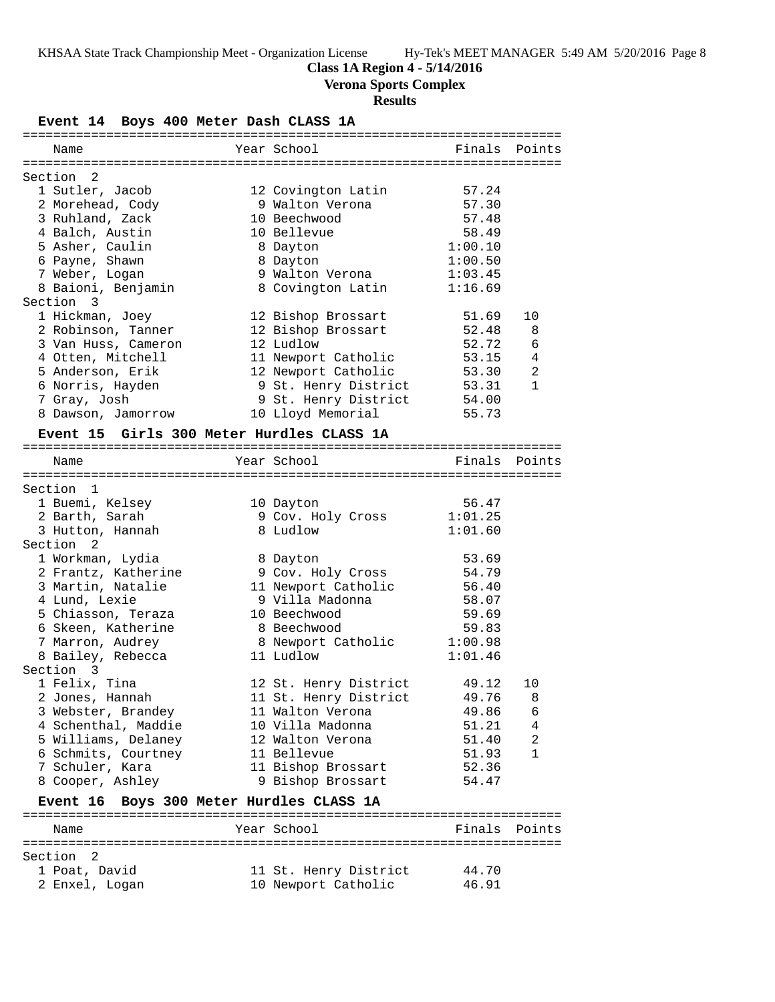### **Class 1A Region 4 - 5/14/2016**

**Verona Sports Complex**

### **Results**

### **Event 14 Boys 400 Meter Dash CLASS 1A**

| Name                      | Year School          | Finals  | Points         |
|---------------------------|----------------------|---------|----------------|
|                           |                      |         |                |
| Section<br>$\overline{2}$ |                      |         |                |
| 1 Sutler, Jacob           | 12 Covington Latin   | 57.24   |                |
| 2 Morehead, Cody          | 9 Walton Verona      | 57.30   |                |
| 3 Ruhland, Zack           | 10 Beechwood         | 57.48   |                |
| 4 Balch, Austin           | 10 Bellevue          | 58.49   |                |
| 5 Asher, Caulin           | 8 Dayton             | 1:00.10 |                |
| 6 Payne, Shawn            | 8 Dayton             | 1:00.50 |                |
| 7 Weber, Logan            | 9 Walton Verona      | 1:03.45 |                |
| 8 Baioni, Benjamin        | 8 Covington Latin    | 1:16.69 |                |
| Section 3                 |                      |         |                |
| 1 Hickman, Joey           | 12 Bishop Brossart   | 51.69   | 10             |
| 2 Robinson, Tanner        | 12 Bishop Brossart   | 52.48   | 8              |
| 3 Van Huss, Cameron       | 12 Ludlow            | 52.72   | 6              |
| 4 Otten, Mitchell         | 11 Newport Catholic  | 53.15   | $\overline{4}$ |
| 5 Anderson, Erik          | 12 Newport Catholic  | 53.30   | 2              |
| 6 Norris, Hayden          | 9 St. Henry District | 53.31   | $\mathbf{1}$   |
| 7 Gray, Josh              | 9 St. Henry District | 54.00   |                |
| 8 Dawson, Jamorrow        | 10 Lloyd Memorial    | 55.73   |                |

#### **Event 15 Girls 300 Meter Hurdles CLASS 1A**

| Name                 |                                 | Year School                              | Finals Points |                |
|----------------------|---------------------------------|------------------------------------------|---------------|----------------|
|                      |                                 |                                          |               |                |
| Section 1            |                                 |                                          |               |                |
| 1 Buemi, Kelsey      |                                 | 10 Dayton                                | 56.47         |                |
| 2 Barth, Sarah       |                                 | 9 Cov. Holy Cross 1:01.25                |               |                |
| 3 Hutton, Hannah     |                                 | 8 Ludlow                                 | 1:01.60       |                |
| Section <sub>2</sub> |                                 |                                          |               |                |
| 1 Workman, Lydia     |                                 | 8 Dayton                                 | 53.69         |                |
|                      | 2 Frantz, Katherine             | 9 Cov. Holy Cross                        | 54.79         |                |
|                      | 3 Martin, Natalie               | 11 Newport Catholic 56.40                |               |                |
| 4 Lund, Lexie        |                                 | 9 Villa Madonna                          | 58.07         |                |
|                      | 5 Chiasson, Teraza 10 Beechwood |                                          | 59.69         |                |
|                      | 6 Skeen, Katherine              | 8 Beechwood                              | 59.83         |                |
| 7 Marron, Audrey     |                                 | 8 Newport Catholic 1:00.98               |               |                |
| 8 Bailey, Rebecca    |                                 | 11 Ludlow                                | 1:01.46       |                |
| Section 3            |                                 |                                          |               |                |
| 1 Felix, Tina        |                                 | 12 St. Henry District 49.12              |               | 10             |
| 2 Jones, Hannah      |                                 | 11 St. Henry District 49.76              |               | 8              |
|                      | 3 Webster, Brandey              | 11 Walton Verona                         | 49.86         | 6              |
|                      | 4 Schenthal, Maddie             |                                          |               | $\overline{4}$ |
|                      | 5 Williams, Delaney             | 12 Walton Verona                         | 51.40         | 2              |
|                      | 6 Schmits, Courtney             | 11 Bellevue                              | 51.93         | $\mathbf{1}$   |
|                      | 7 Schuler, Kara                 | 11 Bishop Brossart                       | 52.36         |                |
|                      |                                 | 8 Cooper, Ashley 9 Bishop Brossart       | 54.47         |                |
|                      |                                 | Event 16 Boys 300 Meter Hurdles CLASS 1A |               |                |

### ======================================================================= Name **The School** Year School **Finals** Points ======================================================================= Section 2 1 Poat, David 11 St. Henry District 44.70 2 Enxel, Logan 10 Newport Catholic 46.91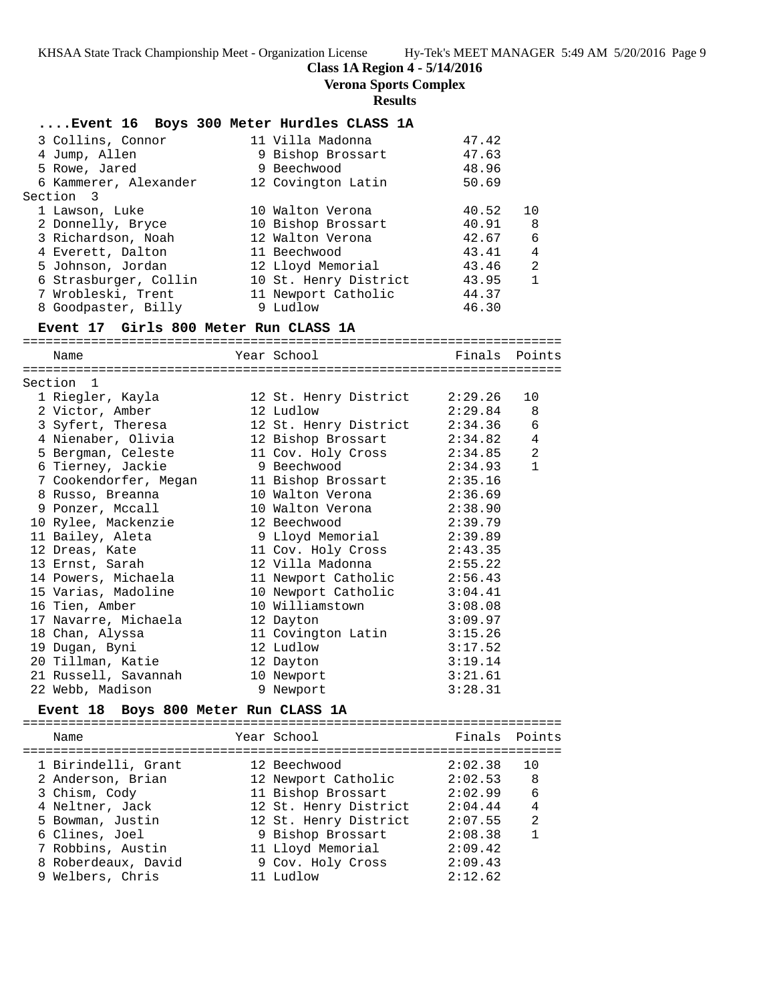# **Class 1A Region 4 - 5/14/2016**

**Verona Sports Complex**

# **Results**

|                                                   | Event 16 Boys 300 Meter Hurdles CLASS 1A     |               |              |
|---------------------------------------------------|----------------------------------------------|---------------|--------------|
| 3 Collins, Connor                                 | 11 Villa Madonna                             | 47.42         |              |
| 4 Jump, Allen                                     | 9 Bishop Brossart 47.63                      |               |              |
| 5 Rowe, Jared                                     | 9 Beechwood                                  | 48.96         |              |
|                                                   | 6 Kammerer, Alexander 12 Covington Latin     | 50.69         |              |
| Section 3                                         |                                              |               |              |
| 1 Lawson, Luke                                    | 10 Walton Verona                             | 40.52         | 10           |
| 2 Donnelly, Bryce                                 | 10 Bishop Brossart                           | 40.91 8       |              |
| 3 Richardson, Noah               12 Walton Verona |                                              | 42.67 6       |              |
| 4 Everett, Dalton                                 | 11 Beechwood                                 | 43.41 4       |              |
| 5 Johnson, Jordan                                 | 12 Lloyd Memorial 43.46 2                    |               |              |
| 6 Strasburger, Collin                             | 10 St. Henry District 43.95                  |               | $\mathbf{1}$ |
|                                                   | 7 Wrobleski, Trent 11 Newport Catholic 44.37 |               |              |
| 8 Goodpaster, Billy 9 Ludlow                      |                                              | 46.30         |              |
| Event 17 Girls 800 Meter Run CLASS 1A             |                                              |               |              |
| Name                                              | ---------------------<br>Year School Show    | Finals Points |              |
|                                                   |                                              |               |              |
| Section 1                                         |                                              |               |              |
| 1 Riegler, Kavla                                  | 12 St. Henry District 2:29.26                |               | 1 Q          |

| DEC LIOII             |  |                                                                                                                                                                                                                                                                                                                                                                                                                             |                                                                |
|-----------------------|--|-----------------------------------------------------------------------------------------------------------------------------------------------------------------------------------------------------------------------------------------------------------------------------------------------------------------------------------------------------------------------------------------------------------------------------|----------------------------------------------------------------|
| 1 Riegler, Kayla      |  |                                                                                                                                                                                                                                                                                                                                                                                                                             | 10                                                             |
| 2 Victor, Amber       |  |                                                                                                                                                                                                                                                                                                                                                                                                                             | 8                                                              |
| 3 Syfert, Theresa     |  |                                                                                                                                                                                                                                                                                                                                                                                                                             | 6                                                              |
| 4 Nienaber, Olivia    |  |                                                                                                                                                                                                                                                                                                                                                                                                                             | 4                                                              |
| 5 Bergman, Celeste    |  |                                                                                                                                                                                                                                                                                                                                                                                                                             | 2                                                              |
| 6 Tierney, Jackie     |  |                                                                                                                                                                                                                                                                                                                                                                                                                             | $\mathbf{1}$                                                   |
| 7 Cookendorfer, Megan |  | 2:35.16                                                                                                                                                                                                                                                                                                                                                                                                                     |                                                                |
| 8 Russo, Breanna      |  | 2:36.69                                                                                                                                                                                                                                                                                                                                                                                                                     |                                                                |
| 9 Ponzer, Mccall      |  | 2:38.90                                                                                                                                                                                                                                                                                                                                                                                                                     |                                                                |
| 10 Rylee, Mackenzie   |  | 2:39.79                                                                                                                                                                                                                                                                                                                                                                                                                     |                                                                |
| 11 Bailey, Aleta      |  | 2:39.89                                                                                                                                                                                                                                                                                                                                                                                                                     |                                                                |
| 12 Dreas, Kate        |  | 2:43.35                                                                                                                                                                                                                                                                                                                                                                                                                     |                                                                |
| 13 Ernst, Sarah       |  | 2:55.22                                                                                                                                                                                                                                                                                                                                                                                                                     |                                                                |
| 14 Powers, Michaela   |  | 2:56.43                                                                                                                                                                                                                                                                                                                                                                                                                     |                                                                |
| 15 Varias, Madoline   |  | 3:04.41                                                                                                                                                                                                                                                                                                                                                                                                                     |                                                                |
| 16 Tien, Amber        |  | 3:08.08                                                                                                                                                                                                                                                                                                                                                                                                                     |                                                                |
| 17 Navarre, Michaela  |  | 3:09.97                                                                                                                                                                                                                                                                                                                                                                                                                     |                                                                |
| 18 Chan, Alyssa       |  | 3:15.26                                                                                                                                                                                                                                                                                                                                                                                                                     |                                                                |
| 19 Dugan, Byni        |  | 3:17.52                                                                                                                                                                                                                                                                                                                                                                                                                     |                                                                |
| 20 Tillman, Katie     |  | 3:19.14                                                                                                                                                                                                                                                                                                                                                                                                                     |                                                                |
| 21 Russell, Savannah  |  | 3:21.61                                                                                                                                                                                                                                                                                                                                                                                                                     |                                                                |
| 22 Webb, Madison      |  | 3:28.31                                                                                                                                                                                                                                                                                                                                                                                                                     |                                                                |
|                       |  | 12 St. Henry District<br>12 Ludlow<br>12 St. Henry District<br>12 Bishop Brossart<br>11 Cov. Holy Cross<br>9 Beechwood<br>11 Bishop Brossart<br>10 Walton Verona<br>10 Walton Verona<br>12 Beechwood<br>9 Lloyd Memorial<br>11 Cov. Holy Cross<br>12 Villa Madonna<br>11 Newport Catholic<br>10 Newport Catholic<br>10 Williamstown<br>12 Dayton<br>11 Covington Latin<br>12 Ludlow<br>12 Dayton<br>10 Newport<br>9 Newport | 2:29.26<br>2:29.84<br>2:34.36<br>2:34.82<br>2:34.85<br>2:34.93 |

# **Event 18 Boys 800 Meter Run CLASS 1A**

| Name                                                                                                                                    | Year School                                                                                                                                           | Finals Points                                                             |                                                  |
|-----------------------------------------------------------------------------------------------------------------------------------------|-------------------------------------------------------------------------------------------------------------------------------------------------------|---------------------------------------------------------------------------|--------------------------------------------------|
| 1 Birindelli, Grant<br>2 Anderson, Brian<br>3 Chism, Cody<br>4 Neltner, Jack<br>5 Bowman, Justin<br>6 Clines, Joel<br>7 Robbins, Austin | 12 Beechwood<br>12 Newport Catholic<br>11 Bishop Brossart<br>12 St. Henry District<br>12 St. Henry District<br>9 Bishop Brossart<br>11 Lloyd Memorial | 2:02.38<br>2:02.53<br>2:02.99<br>2:04.44<br>2:07.55<br>2:08.38<br>2:09.42 | 1 N<br>8<br>6<br>$\overline{4}$<br>$\mathcal{L}$ |
| 8 Roberdeaux, David<br>9 Welbers, Chris                                                                                                 | 9 Cov. Holy Cross<br>11 Ludlow                                                                                                                        | 2:09.43<br>2:12.62                                                        |                                                  |
|                                                                                                                                         |                                                                                                                                                       |                                                                           |                                                  |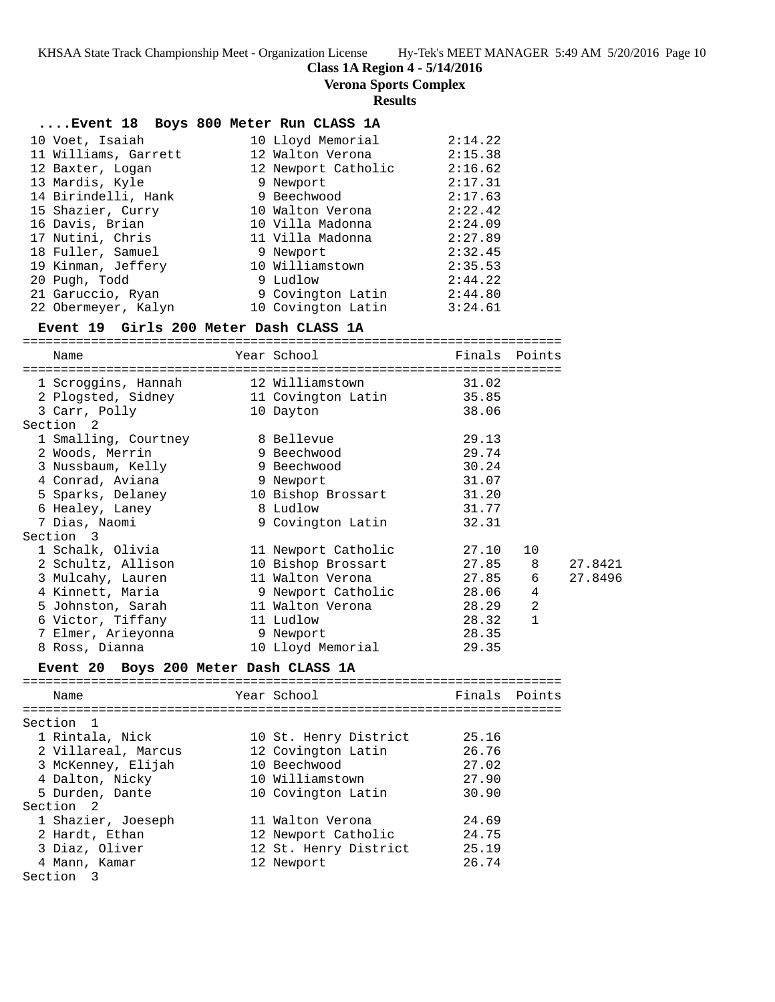**Class 1A Region 4 - 5/14/2016**

**Verona Sports Complex**

# **Results**

| Event 18 Boys 800 Meter Run CLASS 1A           |                           |               |        |         |
|------------------------------------------------|---------------------------|---------------|--------|---------|
| 10 Voet, Isaiah                                | 10 Lloyd Memorial         | 2:14.22       |        |         |
| 11 Williams, Garrett                           | 12 Walton Verona          | 2:15.38       |        |         |
| 12 Baxter, Logan                               | 12 Newport Catholic       | 2:16.62       |        |         |
| 13 Mardis, Kyle                                | 9 Newport                 | 2:17.31       |        |         |
| 14 Birindelli, Hank                            | 9 Beechwood               | 2:17.63       |        |         |
| 15 Shazier, Curry                              | 10 Walton Verona 2:22.42  |               |        |         |
| 16 Davis, Brian                                | 10 Villa Madonna 2:24.09  |               |        |         |
| 17 Nutini, Chris                               | 11 Villa Madonna          | 2:27.89       |        |         |
| 18 Fuller, Samuel                              | 9 Newport                 | 2:32.45       |        |         |
| 19 Kinman, Jeffery                             | 10 Williamstown           | 2:35.53       |        |         |
| 20 Pugh, Todd                                  | 9 Ludlow                  | 2:44.22       |        |         |
| 21 Garuccio, Ryan                              | 9 Covington Latin 2:44.80 |               |        |         |
| 22 Obermeyer, Kalyn 10 Covington Latin 3:24.61 |                           |               |        |         |
| Event 19 Girls 200 Meter Dash CLASS 1A         |                           |               |        |         |
| Name                                           | Year School               | Finals Points |        |         |
|                                                |                           |               |        |         |
| 1 Scroggins, Hannah 12 Williamstown            |                           | 31.02         |        |         |
| 2 Plogsted, Sidney                             | 11 Covington Latin        | 35.85         |        |         |
| 3 Carr, Polly                                  | 10 Dayton                 | 38.06         |        |         |
| Section <sub>2</sub>                           |                           |               |        |         |
| 1 Smalling, Courtney 3 Bellevue                |                           | 29.13         |        |         |
| 2 Woods, Merrin                                | 9 Beechwood               | 29.74         |        |         |
| 3 Nussbaum, Kelly                              | 9 Beechwood               | 30.24         |        |         |
| 4 Conrad, Aviana                               | 9 Newport                 | 31.07         |        |         |
| 5 Sparks, Delaney                              | 10 Bishop Brossart        | 31.20         |        |         |
| 6 Healey, Laney                                | 8 Ludlow                  | 31.77         |        |         |
| 7 Dias, Naomi                                  | 9 Covington Latin         | 32.31         |        |         |
| Section 3                                      |                           |               |        |         |
| 1 Schalk, Olivia                               | 11 Newport Catholic       | 27.10         | 10     |         |
| 2 Schultz, Allison                             | 10 Bishop Brossart        | 27.85         | 8      | 27.8421 |
| 3 Mulcahy, Lauren                              | 11 Walton Verona          | 27.85         | 6      | 27.8496 |
| 4 Kinnett, Maria                               | 9 Newport Catholic        | 28.06         | 4      |         |
| 5 Johnston, Sarah                              | 11 Walton Verona          | 28.29         | 2      |         |
| 6 Victor, Tiffany                              | 11 Ludlow                 | 28.32         | 1      |         |
| 7 Elmer, Arieyonna                             | 9 Newport                 | 28.35         |        |         |
| 8 Ross, Dianna                                 | 10 Lloyd Memorial         | 29.35         |        |         |
| Event 20 Boys 200 Meter Dash CLASS 1A          |                           |               |        |         |
| Name                                           | Year School               | Finals        | Points |         |
| ===============================                |                           |               |        |         |
| Section<br>1                                   |                           |               |        |         |
| 1 Rintala, Nick                                | 10 St. Henry District     | 25.16         |        |         |
| 2 Villareal, Marcus                            | 12 Covington Latin        | 26.76         |        |         |
| 3 McKenney, Elijah                             | 10 Beechwood              | 27.02         |        |         |
| 4 Dalton, Nicky                                | 10 Williamstown           | 27.90         |        |         |
| 5 Durden, Dante                                | 10 Covington Latin        | 30.90         |        |         |
| Section<br>-2                                  |                           |               |        |         |
| 1 Shazier, Joeseph                             | 11 Walton Verona          | 24.69         |        |         |
| 2 Hardt, Ethan                                 | 12 Newport Catholic       | 24.75         |        |         |
| 3 Diaz, Oliver                                 | 12 St. Henry District     | 25.19         |        |         |
| 4 Mann, Kamar                                  | 12 Newport                | 26.74         |        |         |
| Section 3                                      |                           |               |        |         |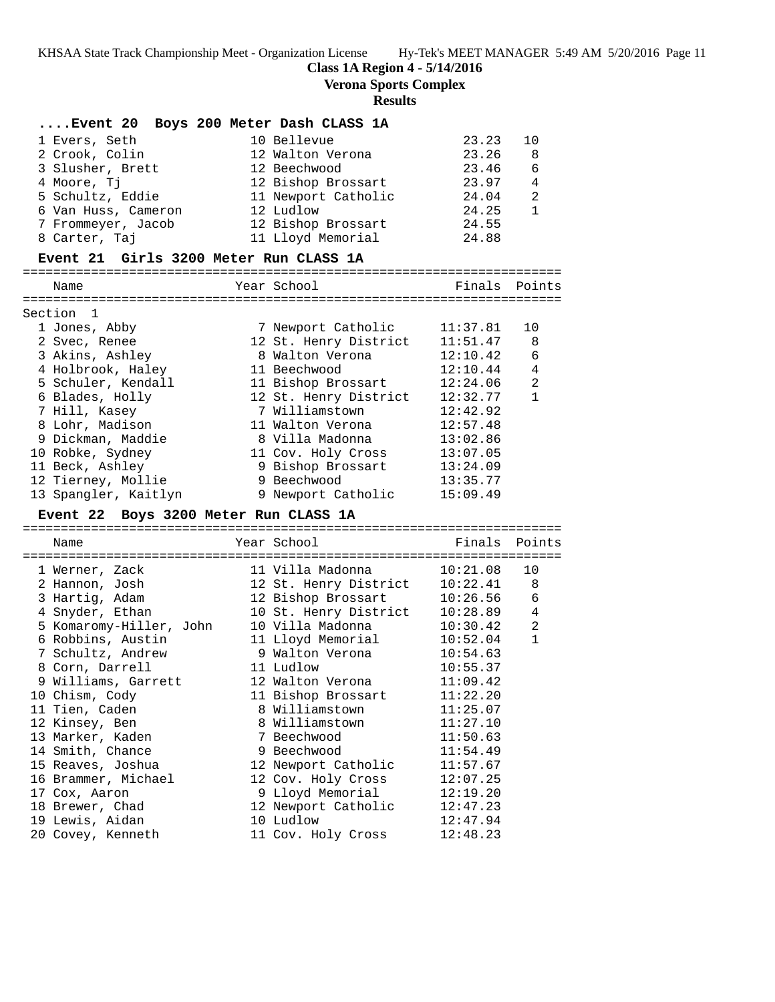**Class 1A Region 4 - 5/14/2016**

**Verona Sports Complex**

#### **Results**

|                     | Event 20 Boys 200 Meter Dash CLASS 1A |       |                |
|---------------------|---------------------------------------|-------|----------------|
| 1 Evers, Seth       | 10 Bellevue                           | 23.23 | 10             |
| 2 Crook, Colin      | 12 Walton Verona                      | 23.26 | - 8            |
| 3 Slusher, Brett    | 12 Beechwood                          | 23.46 | - 6            |
| 4 Moore, Ti         | 12 Bishop Brossart                    | 23.97 | $\overline{4}$ |
| 5 Schultz, Eddie    | 11 Newport Catholic                   | 24.04 | $\overline{2}$ |
| 6 Van Huss, Cameron | 12 Ludlow                             | 24.25 | $\overline{1}$ |
| 7 Frommeyer, Jacob  | 12 Bishop Brossart                    | 24.55 |                |
| 8 Carter, Taj       | 11 Lloyd Memorial                     | 24.88 |                |

### **Event 21 Girls 3200 Meter Run CLASS 1A**

======================================================================= Year School **Finals** Points ======================================================================= Section 1 1 Jones, Abby 7 Newport Catholic 11:37.81 10 2 Svec, Renee 12 St. Henry District 11:51.47 8 3 Akins, Ashley 8 Walton Verona 12:10.42 6 4 Holbrook, Haley 11 Beechwood 12:10.44 4 5 Schuler, Kendall 11 Bishop Brossart 12:24.06 2 6 Blades, Holly 12 St. Henry District 12:32.77 1 7 Hill, Kasey 7 Williamstown 12:42.92 8 Lohr, Madison 11 Walton Verona 12:57.48 9 Dickman, Maddie 8 Villa Madonna 13:02.86 10 Robke, Sydney 11 Cov. Holy Cross 13:07.05 11 Beck, Ashley 9 Bishop Brossart 13:24.09 12 Tierney, Mollie 9 Beechwood 13:35.77 13 Spangler, Kaitlyn 9 Newport Catholic 15:09.49

### **Event 22 Boys 3200 Meter Run CLASS 1A**

======================================================================= Name Year School Finals Points ======================================================================= 1 Werner, Zack 11 Villa Madonna 10:21.08 10 2 Hannon, Josh 12 St. Henry District 10:22.41 8 3 Hartig, Adam 12 Bishop Brossart 10:26.56 6 4 Snyder, Ethan 10 St. Henry District 10:28.89 4 5 Komaromy-Hiller, John 10 Villa Madonna 10:30.42 2 6 Robbins, Austin 11 Lloyd Memorial 10:52.04 1 7 Schultz, Andrew 9 Walton Verona 10:54.63 8 Corn, Darrell 11 Ludlow 10:55.37 9 Williams, Garrett 12 Walton Verona 11:09.42 10 Chism, Cody 11 Bishop Brossart 11:22.20 11 Tien, Caden 8 Williamstown 11:25.07 12 Kinsey, Ben 8 Williamstown 11:27.10 13 Marker, Kaden 7 Beechwood 11:50.63 14 Smith, Chance 3 Beechwood 11:54.49 15 Reaves, Joshua 12 Newport Catholic 11:57.67 16 Brammer, Michael 12 Cov. Holy Cross 12:07.25 17 Cox, Aaron 9 Lloyd Memorial 12:19.20 18 Brewer, Chad 12 Newport Catholic 12:47.23 19 Lewis, Aidan 10 Ludlow 12:47.94 20 Covey, Kenneth 11 Cov. Holy Cross 12:48.23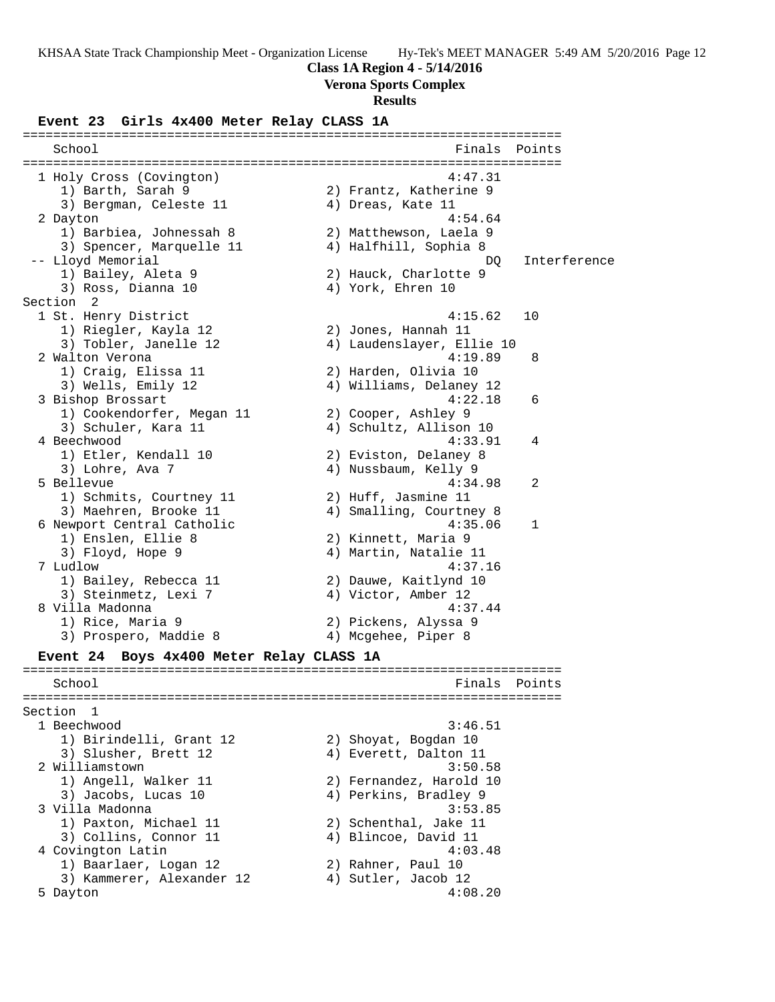### **Class 1A Region 4 - 5/14/2016**

**Verona Sports Complex**

#### **Results**

#### **Event 23 Girls 4x400 Meter Relay CLASS 1A**

======================================================================= Finals Points ======================================================================= 1 Holy Cross (Covington) 4:47.31 1) Barth, Sarah 9 2) Frantz, Katherine 9 3) Bergman, Celeste 11  $\hskip1cm 4$ ) Dreas, Kate 11 2 Dayton 4:54.64 1) Barbiea, Johnessah 8 2) Matthewson, Laela 9 3) Spencer, Marquelle 11 4) Halfhill, Sophia 8 -- Lloyd Memorial description of the contract of the DQ interference 1) Bailey, Aleta 9 2) Hauck, Charlotte 9 3) Ross, Dianna 10  $\hskip1cm 4)$  York, Ehren 10 Section 2<br>1 St. Henry District 1 St. Henry District 4:15.62 10 1) Riegler, Kayla 12 2) Jones, Hannah 11 3) Tobler, Janelle 12 4) Laudenslayer, Ellie 10 2 Walton Verona 4:19.89 8 1) Craig, Elissa 11 2) Harden, Olivia 10 3) Wells, Emily 12 4) Williams, Delaney 12 3 Bishop Brossart 4:22.18 6 1) Cookendorfer, Megan 11 2) Cooper, Ashley 9 3) Schuler, Kara 11 4) Schultz, Allison 10 4 Beechwood 4:33.91 4 1) Etler, Kendall 10 2) Eviston, Delaney 8 3) Lohre, Ava 7 (1990) 1994 Mussbaum, Kelly 9 5 Bellevue 4:34.98 2 1) Schmits, Courtney 11 (2) Huff, Jasmine 11 3) Maehren, Brooke 11 4) Smalling, Courtney 8 6 Newport Central Catholic 4:35.06 1 1) Enslen, Ellie 8 2) Kinnett, Maria 9 3) Floyd, Hope 9 4) Martin, Natalie 11 7 Ludlow 4:37.16 1) Bailey, Rebecca 11 2) Dauwe, Kaitlynd 10 3) Steinmetz, Lexi 7 (4) Victor, Amber 12 8 Villa Madonna 4:37.44 1) Rice, Maria 9 2) Pickens, Alyssa 9 3) Prospero, Maddie 8 (4) Mcgehee, Piper 8 **Event 24 Boys 4x400 Meter Relay CLASS 1A** ======================================================================= School **Finals Points** ======================================================================= Section 1 1 Beechwood 3:46.51 1) Birindelli, Grant 12 2) Shoyat, Bogdan 10 3) Slusher, Brett 12 (4) Everett, Dalton 11 2 Williamstown 3:50.58 1) Angell, Walker 11 2) Fernandez, Harold 10 3) Jacobs, Lucas 10 4) Perkins, Bradley 9 3 Villa Madonna 3:53.85 1) Paxton, Michael 11 2) Schenthal, Jake 11 3) Collins, Connor 11 (4) Blincoe, David 11 4 Covington Latin 4:03.48 1) Baarlaer, Logan 12 (2011) 2 Rahner, Paul 10 3) Kammerer, Alexander 12 4) Sutler, Jacob 12 5 Dayton 4:08.20